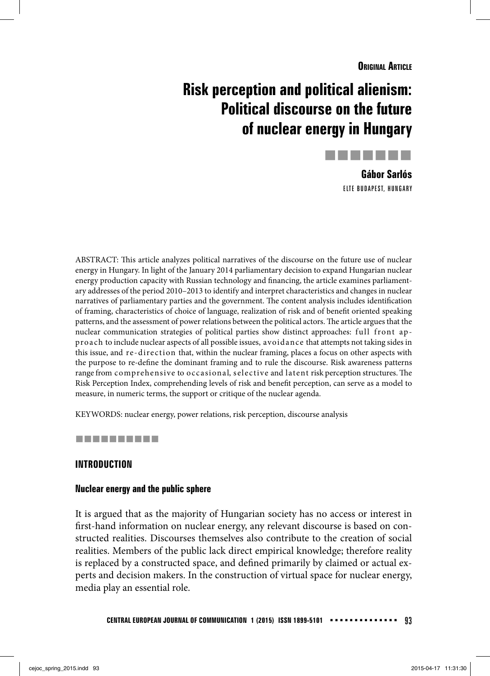# **Risk perception and political alienism: Political discourse on the future of nuclear energy in Hungary**



**ELTE BUDAPEST, HUNGARY** 

ABSTRACT: This article analyzes political narratives of the discourse on the future use of nuclear energy in Hungary. In light of the January 2014 parliamentary decision to expand Hungarian nuclear energy production capacity with Russian technology and financing, the article examines parliamentary addresses of the period 2010–2013 to identify and interpret characteristics and changes in nuclear narratives of parliamentary parties and the government. The content analysis includes identification of framing, characteristics of choice of language, realization of risk and of benefi t oriented speaking patterns, and the assessment of power relations between the political actors. The article argues that the nuclear communication strategies of political parties show distinct approaches: full front approach to include nuclear aspects of all possible issues, avoidance that attempts not taking sides in this issue, and re-direction that, within the nuclear framing, places a focus on other aspects with the purpose to re-define the dominant framing and to rule the discourse. Risk awareness patterns range from comprehensive to occasional, selective and latent risk perception structures. The Risk Perception Index, comprehending levels of risk and benefi t perception, can serve as a model to measure, in numeric terms, the support or critique of the nuclear agenda.

KEYWORDS: nuclear energy, power relations, risk perception, discourse analysis

#### ----------

#### **INTRODUCTION**

#### **Nuclear energy and the public sphere**

It is argued that as the majority of Hungarian society has no access or interest in first-hand information on nuclear energy, any relevant discourse is based on constructed realities. Discourses themselves also contribute to the creation of social realities. Members of the public lack direct empirical knowledge; therefore reality is replaced by a constructed space, and defined primarily by claimed or actual experts and decision makers. In the construction of virtual space for nuclear energy, media play an essential role.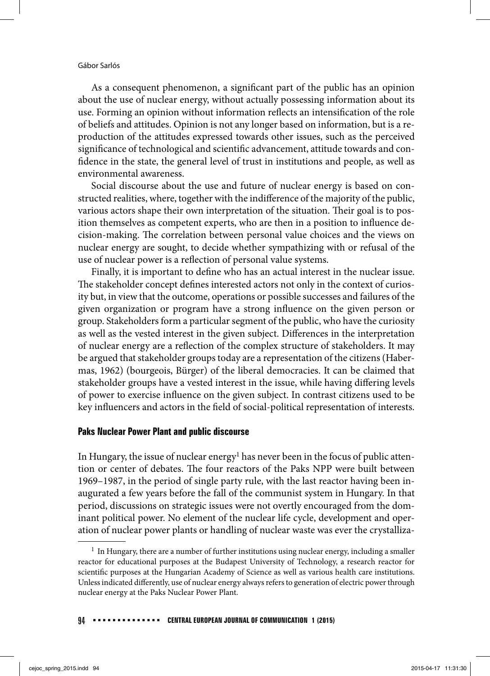As a consequent phenomenon, a significant part of the public has an opinion about the use of nuclear energy, without actually possessing information about its use. Forming an opinion without information reflects an intensification of the role of beliefs and attitudes. Opinion is not any longer based on information, but is a reproduction of the attitudes expressed towards other issues, such as the perceived significance of technological and scientific advancement, attitude towards and confidence in the state, the general level of trust in institutions and people, as well as environmental awareness.

Social discourse about the use and future of nuclear energy is based on constructed realities, where, together with the indifference of the majority of the public, various actors shape their own interpretation of the situation. Their goal is to position themselves as competent experts, who are then in a position to influence decision-making. The correlation between personal value choices and the views on nuclear energy are sought, to decide whether sympathizing with or refusal of the use of nuclear power is a reflection of personal value systems.

Finally, it is important to define who has an actual interest in the nuclear issue. The stakeholder concept defines interested actors not only in the context of curiosity but, in view that the outcome, operations or possible successes and failures of the given organization or program have a strong influence on the given person or group. Stakeholders form a particular segment of the public, who have the curiosity as well as the vested interest in the given subject. Differences in the interpretation of nuclear energy are a reflection of the complex structure of stakeholders. It may be argued that stakeholder groups today are a representation of the citizens (Habermas, 1962) (bourgeois, Bürger) of the liberal democracies. It can be claimed that stakeholder groups have a vested interest in the issue, while having differing levels of power to exercise influence on the given subject. In contrast citizens used to be key influencers and actors in the field of social-political representation of interests.

#### **Paks Nuclear Power Plant and public discourse**

In Hungary, the issue of nuclear energy<sup>1</sup> has never been in the focus of public attention or center of debates. The four reactors of the Paks NPP were built between 1969–1987, in the period of single party rule, with the last reactor having been inaugurated a few years before the fall of the communist system in Hungary. In that period, discussions on strategic issues were not overtly encouraged from the dominant political power. No element of the nuclear life cycle, development and operation of nuclear power plants or handling of nuclear waste was ever the crystalliza-

 $<sup>1</sup>$  In Hungary, there are a number of further institutions using nuclear energy, including a smaller</sup> reactor for educational purposes at the Budapest University of Technology, a research reactor for scientific purposes at the Hungarian Academy of Science as well as various health care institutions. Unless indicated differently, use of nuclear energy always refers to generation of electric power through nuclear energy at the Paks Nuclear Power Plant.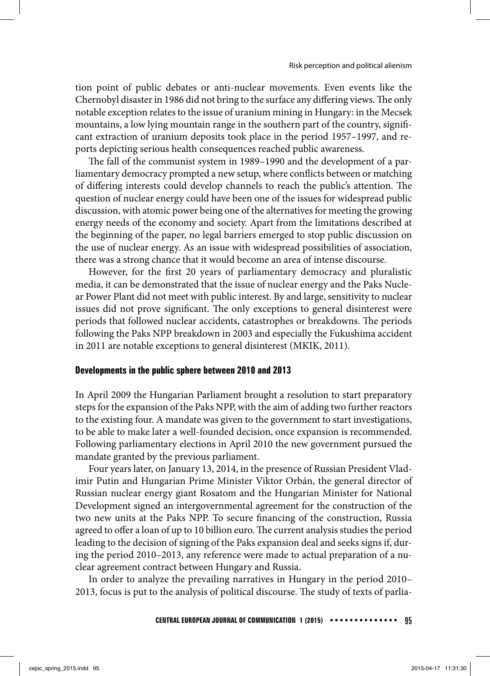tion point of public debates or anti-nuclear movements. Even events like the Chernobyl disaster in 1986 did not bring to the surface any differing views. The only notable exception relates to the issue of uranium mining in Hungary: in the Mecsek mountains, a low lying mountain range in the southern part of the country, significant extraction of uranium deposits took place in the period 1957–1997, and reports depicting serious health consequences reached public awareness.

The fall of the communist system in 1989–1990 and the development of a parliamentary democracy prompted a new setup, where conflicts between or matching of differing interests could develop channels to reach the public's attention. The question of nuclear energy could have been one of the issues for widespread public discussion, with atomic power being one of the alternatives for meeting the growing energy needs of the economy and society. Apart from the limitations described at the beginning of the paper, no legal barriers emerged to stop public discussion on the use of nuclear energy. As an issue with widespread possibilities of association, there was a strong chance that it would become an area of intense discourse.

However, for the first 20 years of parliamentary democracy and pluralistic media, it can be demonstrated that the issue of nuclear energy and the Paks Nuclear Power Plant did not meet with public interest. By and large, sensitivity to nuclear issues did not prove significant. The only exceptions to general disinterest were periods that followed nuclear accidents, catastrophes or breakdowns. The periods following the Paks NPP breakdown in 2003 and especially the Fukushima accident in 2011 are notable exceptions to general disinterest (MKIK, 2011).

#### **Developments in the public sphere between 2010 and 2013**

In April 2009 the Hungarian Parliament brought a resolution to start preparatory steps for the expansion of the Paks NPP, with the aim of adding two further reactors to the existing four. A mandate was given to the government to start investigations, to be able to make later a well-founded decision, once expansion is recommended. Following parliamentary elections in April 2010 the new government pursued the mandate granted by the previous parliament.

Four years later, on January 13, 2014, in the presence of Russian President Vladimir Putin and Hungarian Prime Minister Viktor Orbán, the general director of Russian nuclear energy giant Rosatom and the Hungarian Minister for National Development signed an intergovernmental agreement for the construction of the two new units at the Paks NPP. To secure financing of the construction, Russia agreed to offer a loan of up to 10 billion euro. The current analysis studies the period leading to the decision of signing of the Paks expansion deal and seeks signs if, during the period 2010–2013, any reference were made to actual preparation of a nuclear agreement contract between Hungary and Russia.

In order to analyze the prevailing narratives in Hungary in the period 2010– 2013, focus is put to the analysis of political discourse. The study of texts of parlia-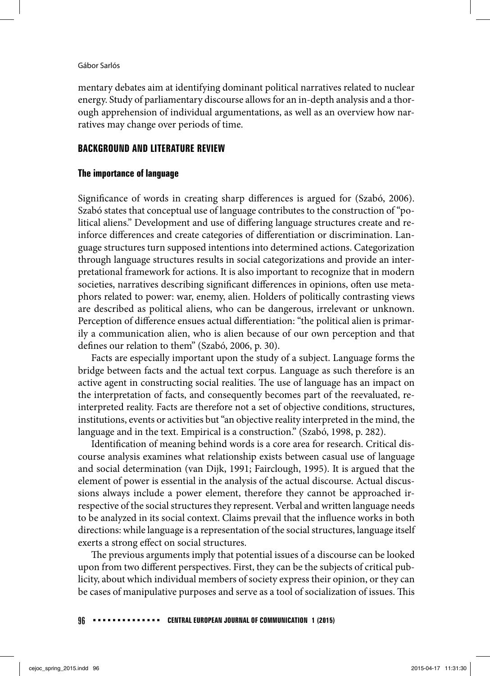mentary debates aim at identifying dominant political narratives related to nuclear energy. Study of parliamentary discourse allows for an in-depth analysis and a thorough apprehension of individual argumentations, as well as an overview how narratives may change over periods of time.

## **BACKGROUND AND LITERATURE REVIEW**

#### **The importance of language**

Significance of words in creating sharp differences is argued for (Szabó, 2006). Szabó states that conceptual use of language contributes to the construction of "political aliens." Development and use of differing language structures create and reinforce differences and create categories of differentiation or discrimination. Language structures turn supposed intentions into determined actions. Categorization through language structures results in social categorizations and provide an interpretational framework for actions. It is also important to recognize that in modern societies, narratives describing significant differences in opinions, often use metaphors related to power: war, enemy, alien. Holders of politically contrasting views are described as political aliens, who can be dangerous, irrelevant or unknown. Perception of difference ensues actual differentiation: "the political alien is primarily a communication alien, who is alien because of our own perception and that defines our relation to them" (Szabó, 2006, p. 30).

Facts are especially important upon the study of a subject. Language forms the bridge between facts and the actual text corpus. Language as such therefore is an active agent in constructing social realities. The use of language has an impact on the interpretation of facts, and consequently becomes part of the reevaluated, reinterpreted reality. Facts are therefore not a set of objective conditions, structures, institutions, events or activities but "an objective reality interpreted in the mind, the language and in the text. Empirical is a construction." (Szabó, 1998, p. 282).

Identification of meaning behind words is a core area for research. Critical discourse analysis examines what relationship exists between casual use of language and social determination (van Dijk, 1991; Fairclough, 1995). It is argued that the element of power is essential in the analysis of the actual discourse. Actual discussions always include a power element, therefore they cannot be approached irrespective of the social structures they represent. Verbal and written language needs to be analyzed in its social context. Claims prevail that the influence works in both directions: while language is a representation of the social structures, language itself exerts a strong effect on social structures.

The previous arguments imply that potential issues of a discourse can be looked upon from two different perspectives. First, they can be the subjects of critical publicity, about which individual members of society express their opinion, or they can be cases of manipulative purposes and serve as a tool of socialization of issues. This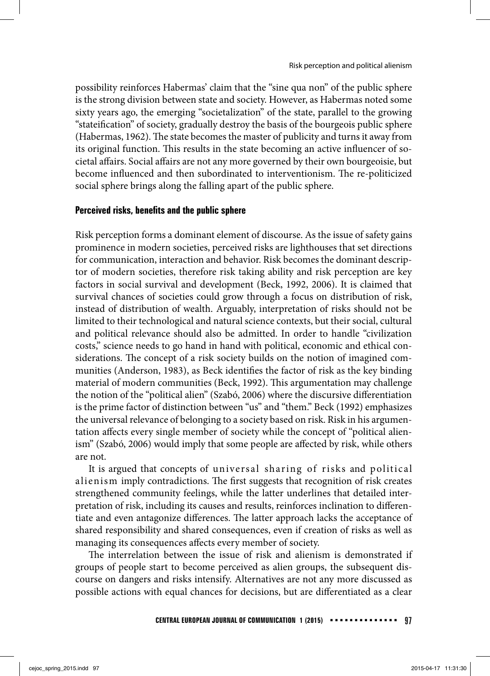possibility reinforces Habermas' claim that the "sine qua non" of the public sphere is the strong division between state and society. However, as Habermas noted some sixty years ago, the emerging "societalization" of the state, parallel to the growing "stateification" of society, gradually destroy the basis of the bourgeois public sphere (Habermas, 1962). The state becomes the master of publicity and turns it away from its original function. This results in the state becoming an active influencer of societal affairs. Social affairs are not any more governed by their own bourgeoisie, but become influenced and then subordinated to interventionism. The re-politicized social sphere brings along the falling apart of the public sphere.

## Perceived risks, benefits and the public sphere

Risk perception forms a dominant element of discourse. As the issue of safety gains prominence in modern societies, perceived risks are lighthouses that set directions for communication, interaction and behavior. Risk becomes the dominant descriptor of modern societies, therefore risk taking ability and risk perception are key factors in social survival and development (Beck, 1992, 2006). It is claimed that survival chances of societies could grow through a focus on distribution of risk, instead of distribution of wealth. Arguably, interpretation of risks should not be limited to their technological and natural science contexts, but their social, cultural and political relevance should also be admitted. In order to handle "civilization costs," science needs to go hand in hand with political, economic and ethical considerations. The concept of a risk society builds on the notion of imagined communities (Anderson, 1983), as Beck identifies the factor of risk as the key binding material of modern communities (Beck, 1992). This argumentation may challenge the notion of the "political alien" (Szabó, 2006) where the discursive differentiation is the prime factor of distinction between "us" and "them." Beck (1992) emphasizes the universal relevance of belonging to a society based on risk. Risk in his argumentation affects every single member of society while the concept of "political alienism" (Szabó, 2006) would imply that some people are affected by risk, while others are not.

It is argued that concepts of universal sharing of risks and political alienism imply contradictions. The first suggests that recognition of risk creates strengthened community feelings, while the latter underlines that detailed interpretation of risk, including its causes and results, reinforces inclination to differentiate and even antagonize differences. The latter approach lacks the acceptance of shared responsibility and shared consequences, even if creation of risks as well as managing its consequences affects every member of society.

The interrelation between the issue of risk and alienism is demonstrated if groups of people start to become perceived as alien groups, the subsequent discourse on dangers and risks intensify. Alternatives are not any more discussed as possible actions with equal chances for decisions, but are differentiated as a clear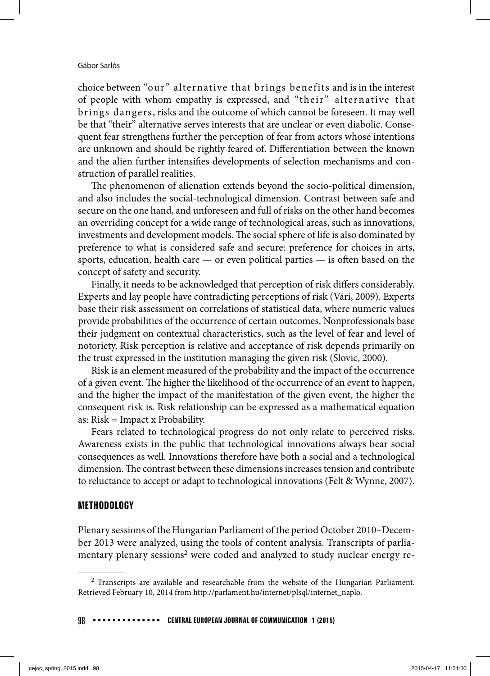choice between "our" alternative that brings benefits and is in the interest of people with whom empathy is expressed, and "their" alternative that brings dangers, risks and the outcome of which cannot be foreseen. It may well be that "their" alternative serves interests that are unclear or even diabolic. Consequent fear strengthens further the perception of fear from actors whose intentions are unknown and should be rightly feared of. Differentiation between the known and the alien further intensifies developments of selection mechanisms and construction of parallel realities.

The phenomenon of alienation extends beyond the socio-political dimension, and also includes the social-technological dimension. Contrast between safe and secure on the one hand, and unforeseen and full of risks on the other hand becomes an overriding concept for a wide range of technological areas, such as innovations, investments and development models. The social sphere of life is also dominated by preference to what is considered safe and secure: preference for choices in arts, sports, education, health care  $-$  or even political parties  $-$  is often based on the concept of safety and security.

Finally, it needs to be acknowledged that perception of risk differs considerably. Experts and lay people have contradicting perceptions of risk (Vári, 2009). Experts base their risk assessment on correlations of statistical data, where numeric values provide probabilities of the occurrence of certain outcomes. Nonprofessionals base their judgment on contextual characteristics, such as the level of fear and level of notoriety. Risk perception is relative and acceptance of risk depends primarily on the trust expressed in the institution managing the given risk (Slovic, 2000).

Risk is an element measured of the probability and the impact of the occurrence of a given event. The higher the likelihood of the occurrence of an event to happen, and the higher the impact of the manifestation of the given event, the higher the consequent risk is. Risk relationship can be expressed as a mathematical equation as: Risk = Impact x Probability.

Fears related to technological progress do not only relate to perceived risks. Awareness exists in the public that technological innovations always bear social consequences as well. Innovations therefore have both a social and a technological dimension. The contrast between these dimensions increases tension and contribute to reluctance to accept or adapt to technological innovations (Felt & Wynne, 2007).

## **METHODOLOGY**

Plenary sessions of the Hungarian Parliament of the period October 2010–December 2013 were analyzed, using the tools of content analysis. Transcripts of parliamentary plenary sessions<sup>2</sup> were coded and analyzed to study nuclear energy re-

<sup>2</sup> Transcripts are available and researchable from the website of the Hungarian Parliament. Retrieved February 10, 2014 from http://parlament.hu/internet/plsql/internet\_naplo.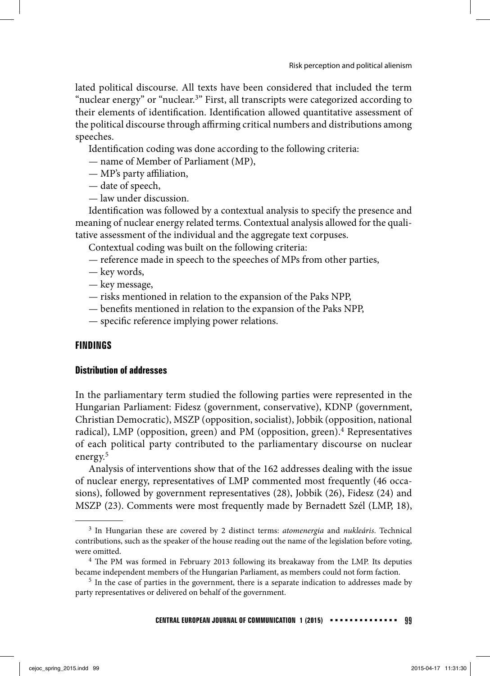lated political discourse. All texts have been considered that included the term "nuclear energy" or "nuclear.3" First, all transcripts were categorized according to their elements of identification. Identification allowed quantitative assessment of the political discourse through affirming critical numbers and distributions among speeches.

Identification coding was done according to the following criteria:

— name of Member of Parliament (MP),

- $-$  MP's party affiliation,
- date of speech,
- law under discussion.

Identification was followed by a contextual analysis to specify the presence and meaning of nuclear energy related terms. Contextual analysis allowed for the qualitative assessment of the individual and the aggregate text corpuses.

Contextual coding was built on the following criteria:

— reference made in speech to the speeches of MPs from other parties,

- key words,
- key message,
- risks mentioned in relation to the expansion of the Paks NPP,
- $-$  benefits mentioned in relation to the expansion of the Paks NPP,
- specific reference implying power relations.

# **FINDINGS**

## **Distribution of addresses**

In the parliamentary term studied the following parties were represented in the Hungarian Parliament: Fidesz (government, conservative), KDNP (government, Christian Democratic), MSZP (opposition, socialist), Jobbik (opposition, national radical), LMP (opposition, green) and PM (opposition, green).4 Representatives of each political party contributed to the parliamentary discourse on nuclear energy.5

Analysis of interventions show that of the 162 addresses dealing with the issue of nuclear energy, representatives of LMP commented most frequently (46 occasions), followed by government representatives (28), Jobbik (26), Fidesz (24) and MSZP (23). Comments were most frequently made by Bernadett Szél (LMP, 18),

 $3$  In Hungarian these are covered by 2 distinct terms: *atomenergia* and *nukleáris*. Technical contributions, such as the speaker of the house reading out the name of the legislation before voting, were omitted.

 $4$  The PM was formed in February 2013 following its breakaway from the LMP. Its deputies became independent members of the Hungarian Parliament, as members could not form faction.

<sup>&</sup>lt;sup>5</sup> In the case of parties in the government, there is a separate indication to addresses made by party representatives or delivered on behalf of the government.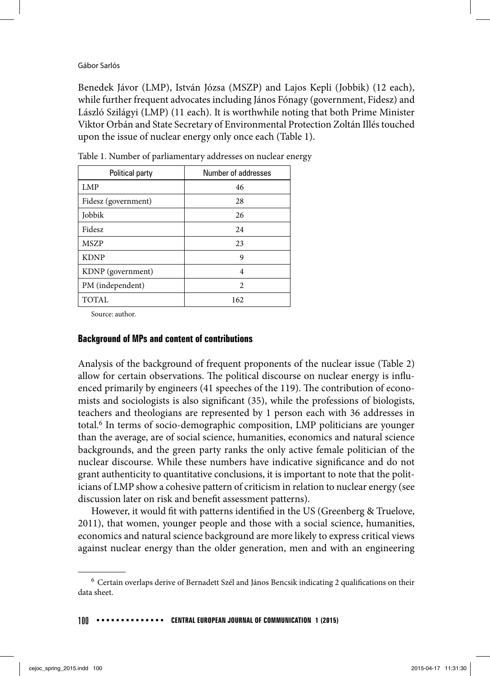Benedek Jávor (LMP), István Józsa (MSZP) and Lajos Kepli (Jobbik) (12 each), while further frequent advocates including János Fónagy (government, Fidesz) and László Szilágyi (LMP) (11 each). It is worthwhile noting that both Prime Minister Viktor Orbán and State Secretary of Environmental Protection Zoltán Illés touched upon the issue of nuclear energy only once each (Table 1).

| Political party     | Number of addresses |
|---------------------|---------------------|
| LMP                 | 46                  |
| Fidesz (government) | 28                  |
| Jobbik              | 26                  |
| Fidesz              | 24                  |
| <b>MSZP</b>         | 23                  |
| <b>KDNP</b>         | 9                   |
| KDNP (government)   | 4                   |
| PM (independent)    | $\mathfrak{D}$      |
| <b>TOTAL</b>        | 162                 |

Table 1. Number of parliamentary addresses on nuclear energy

Source: author.

## **Background of MPs and content of contributions**

Analysis of the background of frequent proponents of the nuclear issue (Table 2) allow for certain observations. The political discourse on nuclear energy is influenced primarily by engineers (41 speeches of the 119). The contribution of economists and sociologists is also significant  $(35)$ , while the professions of biologists, teachers and theologians are represented by 1 person each with 36 addresses in total.6 In terms of socio-demographic composition, LMP politicians are younger than the average, are of social science, humanities, economics and natural science backgrounds, and the green party ranks the only active female politician of the nuclear discourse. While these numbers have indicative significance and do not grant authenticity to quantitative conclusions, it is important to note that the politicians of LMP show a cohesive pattern of criticism in relation to nuclear energy (see discussion later on risk and benefit assessment patterns).

However, it would fit with patterns identified in the US (Greenberg & Truelove, 2011), that women, younger people and those with a social science, humanities, economics and natural science background are more likely to express critical views against nuclear energy than the older generation, men and with an engineering

 $6$  Certain overlaps derive of Bernadett Szél and János Bencsik indicating 2 qualifications on their data sheet.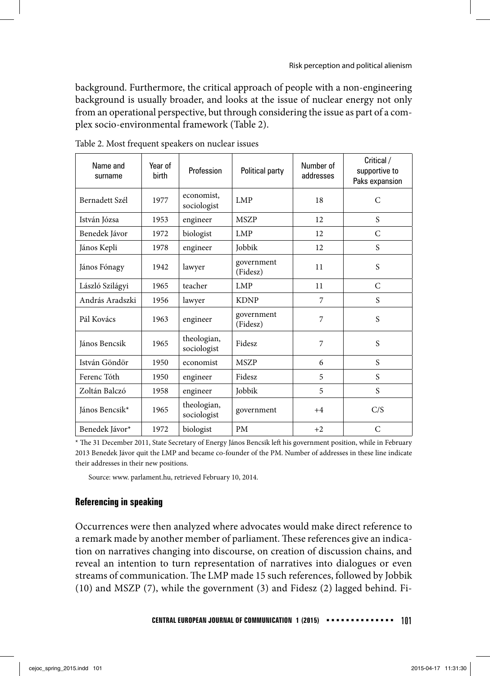background. Furthermore, the critical approach of people with a non-engineering background is usually broader, and looks at the issue of nuclear energy not only from an operational perspective, but through considering the issue as part of a complex socio-environmental framework (Table 2).

| Name and<br>surname | Year of<br>hirth | Profession                 | Political party        | Number of<br>addresses | Critical /<br>supportive to<br>Paks expansion |
|---------------------|------------------|----------------------------|------------------------|------------------------|-----------------------------------------------|
| Bernadett Szél      | 1977             | economist.<br>sociologist  | LMP                    | 18                     | C                                             |
| István Józsa        | 1953             | engineer                   | <b>MSZP</b>            | 12                     | S                                             |
| Benedek Jávor       | 1972             | biologist                  | LMP                    | 12                     | C                                             |
| János Kepli         | 1978             | engineer                   | <b>Iobbik</b>          | 12                     | S                                             |
| János Fónagy        | 1942             | lawyer                     | government<br>(Fidesz) | 11                     | S                                             |
| László Szilágyi     | 1965             | teacher                    | LMP                    | 11                     | $\mathcal{C}$                                 |
| András Aradszki     | 1956             | lawyer                     | <b>KDNP</b>            | 7                      | S                                             |
| Pál Kovács          | 1963             | engineer                   | government<br>(Fidesz) | 7                      | S                                             |
| János Bencsik       | 1965             | theologian,<br>sociologist | Fidesz                 | 7                      | S                                             |
| István Göndör       | 1950             | economist                  | <b>MSZP</b>            | 6                      | S                                             |
| Ferenc Tóth         | 1950             | engineer                   | Fidesz                 | 5                      | S                                             |
| Zoltán Balczó       | 1958             | engineer                   | Jobbik                 | 5                      | S                                             |
| János Bencsik*      | 1965             | theologian,<br>sociologist | government             | $+4$                   | C/S                                           |
| Benedek Jávor*      | 1972             | biologist                  | <b>PM</b>              | $+2$                   | C                                             |

Table 2. Most frequent speakers on nuclear issues

\* The 31 December 2011, State Secretary of Energy János Bencsik left his government position, while in February 2013 Benedek Jávor quit the LMP and became co-founder of the PM. Number of addresses in these line indicate their addresses in their new positions.

Source: www. parlament.hu, retrieved February 10, 2014.

#### **Referencing in speaking**

Occurrences were then analyzed where advocates would make direct reference to a remark made by another member of parliament. These references give an indication on narratives changing into discourse, on creation of discussion chains, and reveal an intention to turn representation of narratives into dialogues or even streams of communication. The LMP made 15 such references, followed by Jobbik (10) and MSZP (7), while the government (3) and Fidesz (2) lagged behind. Fi-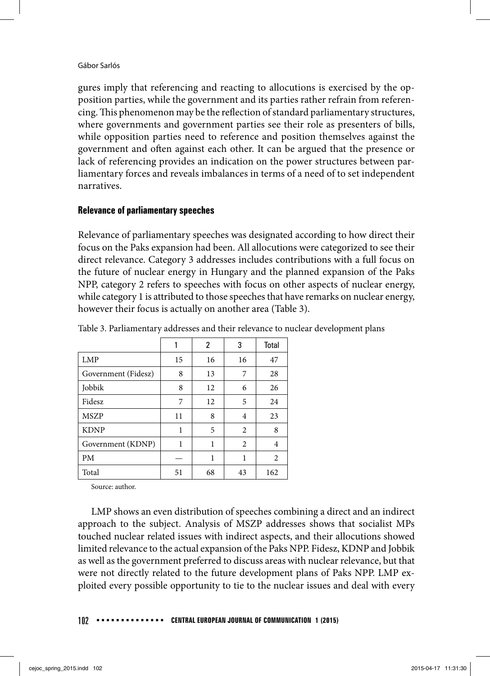gures imply that referencing and reacting to allocutions is exercised by the opposition parties, while the government and its parties rather refrain from referencing. This phenomenon may be the reflection of standard parliamentary structures, where governments and government parties see their role as presenters of bills, while opposition parties need to reference and position themselves against the government and often against each other. It can be argued that the presence or lack of referencing provides an indication on the power structures between parliamentary forces and reveals imbalances in terms of a need of to set independent narratives.

# **Relevance of parliamentary speeches**

Relevance of parliamentary speeches was designated according to how direct their focus on the Paks expansion had been. All allocutions were categorized to see their direct relevance. Category 3 addresses includes contributions with a full focus on the future of nuclear energy in Hungary and the planned expansion of the Paks NPP, category 2 refers to speeches with focus on other aspects of nuclear energy, while category 1 is attributed to those speeches that have remarks on nuclear energy, however their focus is actually on another area (Table 3).

|                     |    | 2  | 3  | <b>Total</b> |
|---------------------|----|----|----|--------------|
| LMP                 | 15 | 16 | 16 | 47           |
| Government (Fidesz) | 8  | 13 | 7  | 28           |
| Jobbik              | 8  | 12 | 6  | 26           |
| Fidesz              | 7  | 12 | 5  | 24           |
| <b>MSZP</b>         | 11 | 8  | 4  | 23           |
| <b>KDNP</b>         | 1  | 5  | 2  | 8            |
| Government (KDNP)   | 1  | 1  | 2  | 4            |
| PM                  |    | 1  | 1  | 2            |
| Total               | 51 | 68 | 43 | 162          |

Table 3. Parliamentary addresses and their relevance to nuclear development plans

Source: author.

LMP shows an even distribution of speeches combining a direct and an indirect approach to the subject. Analysis of MSZP addresses shows that socialist MPs touched nuclear related issues with indirect aspects, and their allocutions showed limited relevance to the actual expansion of the Paks NPP. Fidesz, KDNP and Jobbik as well as the government preferred to discuss areas with nuclear relevance, but that were not directly related to the future development plans of Paks NPP. LMP exploited every possible opportunity to tie to the nuclear issues and deal with every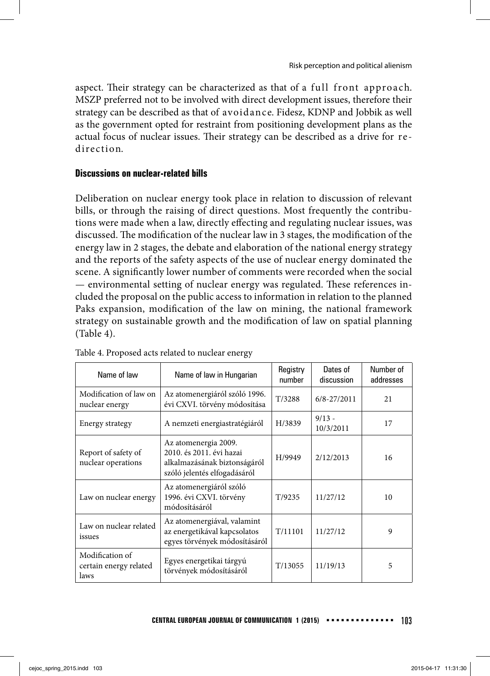aspect. Their strategy can be characterized as that of a full front approach. MSZP preferred not to be involved with direct development issues, therefore their strategy can be described as that of avoidance. Fidesz, KDNP and Jobbik as well as the government opted for restraint from positioning development plans as the actual focus of nuclear issues. Their strategy can be described as a drive for redirection.

# **Discussions on nuclear-related bills**

Deliberation on nuclear energy took place in relation to discussion of relevant bills, or through the raising of direct questions. Most frequently the contributions were made when a law, directly effecting and regulating nuclear issues, was discussed. The modification of the nuclear law in 3 stages, the modification of the energy law in 2 stages, the debate and elaboration of the national energy strategy and the reports of the safety aspects of the use of nuclear energy dominated the scene. A significantly lower number of comments were recorded when the social — environmental setting of nuclear energy was regulated. These references included the proposal on the public access to information in relation to the planned Paks expansion, modification of the law on mining, the national framework strategy on sustainable growth and the modification of law on spatial planning (Table 4).

| Name of law                                       | Name of law in Hungarian                                                                                         | Registry<br>number | Dates of<br>discussion | Number of<br>addresses |
|---------------------------------------------------|------------------------------------------------------------------------------------------------------------------|--------------------|------------------------|------------------------|
| Modification of law on<br>nuclear energy          | Az atomenergiáról szóló 1996.<br>évi CXVI. törvény módosítása                                                    | T/3288             | $6/8 - 27/2011$        | 21                     |
| Energy strategy                                   | A nemzeti energiastratégiáról                                                                                    | H/3839             | $9/13 -$<br>10/3/2011  | 17                     |
| Report of safety of<br>nuclear operations         | Az atomenergia 2009.<br>2010. és 2011. évi hazai<br>alkalmazásának biztonságáról<br>szóló jelentés elfogadásáról | H/9949             | 2/12/2013              | 16                     |
| Law on nuclear energy                             | Az atomenergiáról szóló<br>1996. évi CXVI. törvény<br>módosításáról                                              | T/9235             | 11/27/12               | 10                     |
| Law on nuclear related<br>issues                  | Az atomenergiával, valamint<br>az energetikával kapcsolatos<br>egyes törvények módosításáról                     | T/11101            | 11/27/12               | 9                      |
| Modification of<br>certain energy related<br>laws | Egyes energetikai tárgyú<br>törvények módosításáról                                                              | T/13055            | 11/19/13               | 5                      |

Table 4. Proposed acts related to nuclear energy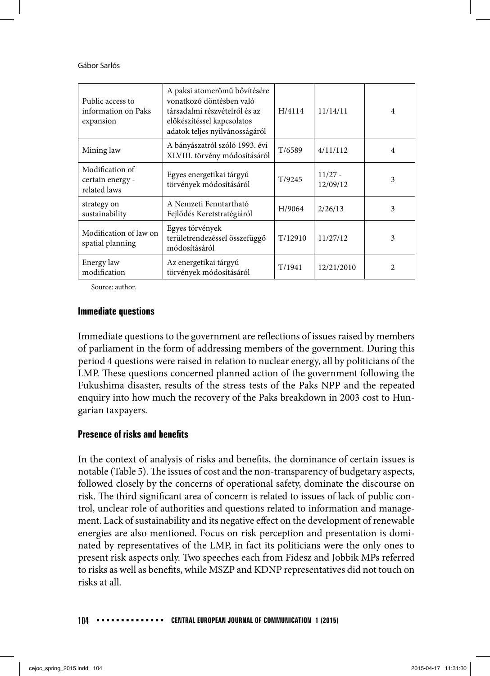| Public access to<br>information on Paks<br>expansion | A paksi atomerőmű bővítésére<br>vonatkozó döntésben való<br>társadalmi részvételről és az<br>előkészítéssel kapcsolatos<br>adatok teljes nyilvánosságáról | H/4114  | 11/14/11              | $\overline{4}$              |
|------------------------------------------------------|-----------------------------------------------------------------------------------------------------------------------------------------------------------|---------|-----------------------|-----------------------------|
| Mining law                                           | A bányászatról szóló 1993. évi<br>XLVIII. törvény módosításáról                                                                                           | T/6589  | 4/11/112              | $\overline{4}$              |
| Modification of<br>certain energy -<br>related laws  | Egyes energetikai tárgyú<br>törvények módosításáról                                                                                                       | T/9245  | $11/27 -$<br>12/09/12 | 3                           |
| strategy on<br>sustainability                        | A Nemzeti Fenntartható<br>Fejlődés Keretstratégiáról                                                                                                      | H/9064  | 2/26/13               | 3                           |
| Modification of law on<br>spatial planning           | Egyes törvények<br>területrendezéssel összefüggő<br>módosításáról                                                                                         | T/12910 | 11/27/12              | 3                           |
| Energy law<br>modification                           | Az energetikai tárgyú<br>törvények módosításáról                                                                                                          | T/1941  | 12/21/2010            | $\mathcal{D}_{\mathcal{A}}$ |

Source: author.

#### **Immediate questions**

Immediate questions to the government are reflections of issues raised by members of parliament in the form of addressing members of the government. During this period 4 questions were raised in relation to nuclear energy, all by politicians of the LMP. These questions concerned planned action of the government following the Fukushima disaster, results of the stress tests of the Paks NPP and the repeated enquiry into how much the recovery of the Paks breakdown in 2003 cost to Hungarian taxpayers.

# **Presence of risks and benefits**

In the context of analysis of risks and benefits, the dominance of certain issues is notable (Table 5). The issues of cost and the non-transparency of budgetary aspects, followed closely by the concerns of operational safety, dominate the discourse on risk. The third significant area of concern is related to issues of lack of public control, unclear role of authorities and questions related to information and management. Lack of sustainability and its negative effect on the development of renewable energies are also mentioned. Focus on risk perception and presentation is dominated by representatives of the LMP, in fact its politicians were the only ones to present risk aspects only. Two speeches each from Fidesz and Jobbik MPs referred to risks as well as benefits, while MSZP and KDNP representatives did not touch on risks at all.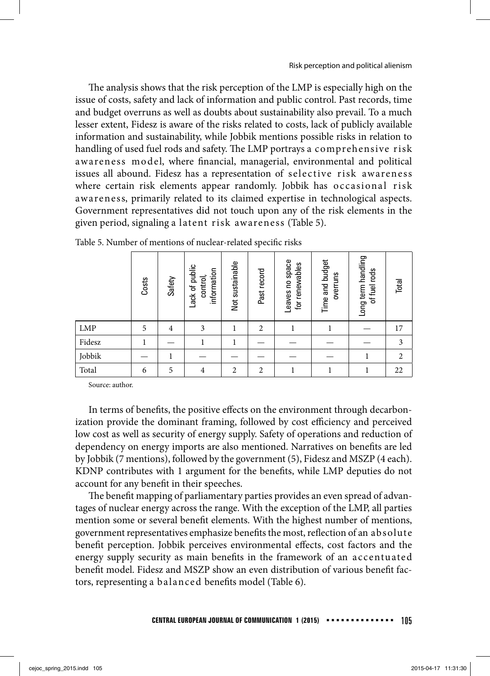The analysis shows that the risk perception of the LMP is especially high on the issue of costs, safety and lack of information and public control. Past records, time and budget overruns as well as doubts about sustainability also prevail. To a much lesser extent, Fidesz is aware of the risks related to costs, lack of publicly available information and sustainability, while Jobbik mentions possible risks in relation to handling of used fuel rods and safety. The LMP portrays a comprehensive risk awareness model, where financial, managerial, environmental and political issues all abound. Fidesz has a representation of selective risk awareness where certain risk elements appear randomly. Jobbik has occasional risk awareness, primarily related to its claimed expertise in technological aspects. Government representatives did not touch upon any of the risk elements in the given period, signaling a latent risk awareness (Table 5).

|        | Costs | Safety         | Lack of public<br>information<br>control, | sustainable<br>Not | Past record    | eaves no space<br>renewables<br>đ | Time and budget<br>overruns | Long term handling<br>rods<br>of fuel | Total          |
|--------|-------|----------------|-------------------------------------------|--------------------|----------------|-----------------------------------|-----------------------------|---------------------------------------|----------------|
| LMP    | 5     | $\overline{4}$ | 3                                         |                    | $\overline{c}$ |                                   |                             |                                       | 17             |
| Fidesz |       |                | 1                                         |                    |                |                                   |                             |                                       | 3              |
| Jobbik |       | 1              |                                           |                    |                |                                   |                             |                                       | $\overline{2}$ |
| Total  | 6     | 5              | $\overline{4}$                            | $\overline{c}$     | $\overline{2}$ |                                   |                             |                                       | 22             |

Source: author.

In terms of benefits, the positive effects on the environment through decarbonization provide the dominant framing, followed by cost efficiency and perceived low cost as well as security of energy supply. Safety of operations and reduction of dependency on energy imports are also mentioned. Narratives on benefits are led by Jobbik (7 mentions), followed by the government (5), Fidesz and MSZP (4 each). KDNP contributes with 1 argument for the benefits, while LMP deputies do not account for any benefit in their speeches.

The benefit mapping of parliamentary parties provides an even spread of advantages of nuclear energy across the range. With the exception of the LMP, all parties mention some or several benefit elements. With the highest number of mentions, government representatives emphasize benefits the most, reflection of an absolute benefit perception. Jobbik perceives environmental effects, cost factors and the energy supply security as main benefits in the framework of an accentuated benefit model. Fidesz and MSZP show an even distribution of various benefit factors, representing a balanced benefits model (Table 6).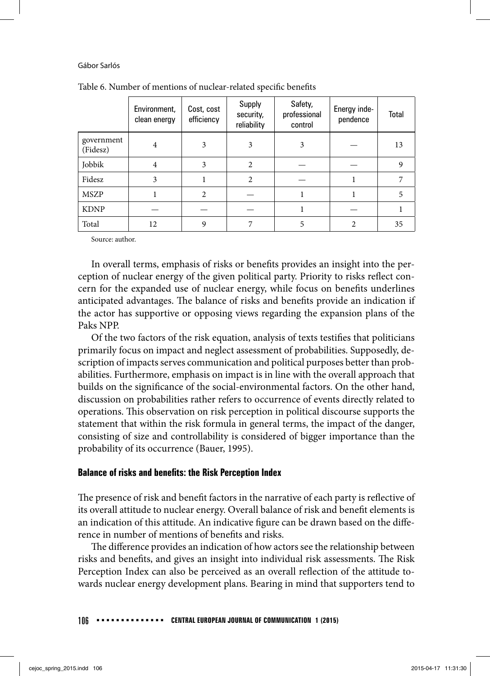|                        | Environment,<br>clean energy | Cost, cost<br>efficiency | Supply<br>security,<br>reliability | Safety,<br>professional<br>control | Energy inde-<br>pendence | Total |
|------------------------|------------------------------|--------------------------|------------------------------------|------------------------------------|--------------------------|-------|
| government<br>(Fidesz) | 4                            | 3                        | 3                                  | 3                                  |                          | 13    |
| Jobbik                 | $\overline{4}$               | 3                        | $\overline{2}$                     |                                    |                          | 9     |
| Fidesz                 | 3                            |                          | $\overline{2}$                     |                                    |                          |       |
| <b>MSZP</b>            |                              | 2                        |                                    |                                    |                          | 5     |
| <b>KDNP</b>            |                              |                          |                                    |                                    |                          |       |
| Total                  | 12                           | 9                        | 7                                  | 5                                  | 2                        | 35    |

Table 6. Number of mentions of nuclear-related specific benefits

Source: author.

In overall terms, emphasis of risks or benefits provides an insight into the perception of nuclear energy of the given political party. Priority to risks reflect concern for the expanded use of nuclear energy, while focus on benefits underlines anticipated advantages. The balance of risks and benefits provide an indication if the actor has supportive or opposing views regarding the expansion plans of the Paks NPP.

Of the two factors of the risk equation, analysis of texts testifies that politicians primarily focus on impact and neglect assessment of probabilities. Supposedly, description of impacts serves communication and political purposes better than probabilities. Furthermore, emphasis on impact is in line with the overall approach that builds on the significance of the social-environmental factors. On the other hand, discussion on probabilities rather refers to occurrence of events directly related to operations. This observation on risk perception in political discourse supports the statement that within the risk formula in general terms, the impact of the danger, consisting of size and controllability is considered of bigger importance than the probability of its occurrence (Bauer, 1995).

#### **Balance of risks and benefits: the Risk Perception Index**

The presence of risk and benefit factors in the narrative of each party is reflective of its overall attitude to nuclear energy. Overall balance of risk and benefit elements is an indication of this attitude. An indicative figure can be drawn based on the difference in number of mentions of benefits and risks.

The difference provides an indication of how actors see the relationship between risks and benefits, and gives an insight into individual risk assessments. The Risk Perception Index can also be perceived as an overall reflection of the attitude towards nuclear energy development plans. Bearing in mind that supporters tend to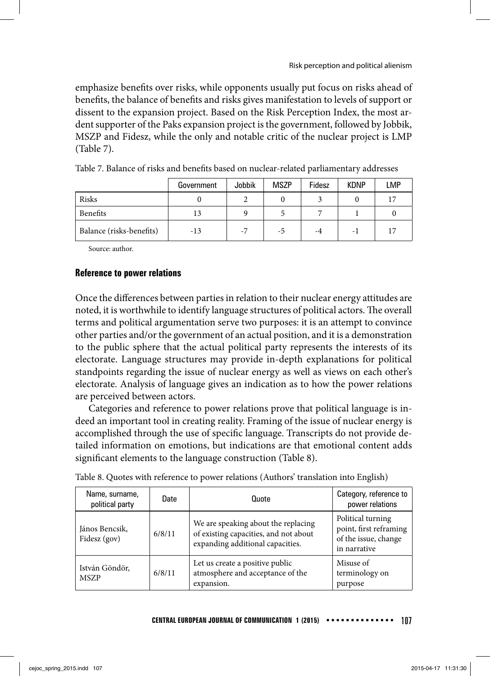emphasize benefits over risks, while opponents usually put focus on risks ahead of benefits, the balance of benefits and risks gives manifestation to levels of support or dissent to the expansion project. Based on the Risk Perception Index, the most ardent supporter of the Paks expansion project is the government, followed by Jobbik, MSZP and Fidesz, while the only and notable critic of the nuclear project is LMP (Table 7).

|                          | Government | Jobbik | <b>MSZP</b> | Fidesz | KDNP | <b>LMP</b> |
|--------------------------|------------|--------|-------------|--------|------|------------|
| Risks                    |            |        |             |        |      | 17         |
| Benefits                 | 13         |        |             |        |      |            |
| Balance (risks-benefits) | $-13$      | $-7$   | -5          | -4     | - 1  |            |

Table 7. Balance of risks and benefits based on nuclear-related parliamentary addresses

Source: author.

#### **Reference to power relations**

Once the differences between parties in relation to their nuclear energy attitudes are noted, it is worthwhile to identify language structures of political actors. The overall terms and political argumentation serve two purposes: it is an attempt to convince other parties and/or the government of an actual position, and it is a demonstration to the public sphere that the actual political party represents the interests of its electorate. Language structures may provide in-depth explanations for political standpoints regarding the issue of nuclear energy as well as views on each other's electorate. Analysis of language gives an indication as to how the power relations are perceived between actors.

Categories and reference to power relations prove that political language is indeed an important tool in creating reality. Framing of the issue of nuclear energy is accomplished through the use of specific language. Transcripts do not provide detailed information on emotions, but indications are that emotional content adds significant elements to the language construction (Table 8).

| Name, surname,<br>political party | Date   | Quote                                                                                                            | Category, reference to<br>power relations                                           |
|-----------------------------------|--------|------------------------------------------------------------------------------------------------------------------|-------------------------------------------------------------------------------------|
| János Bencsik,<br>Fidesz (gov)    | 6/8/11 | We are speaking about the replacing<br>of existing capacities, and not about<br>expanding additional capacities. | Political turning<br>point, first reframing<br>of the issue, change<br>in narrative |
| István Göndör,<br><b>MSZP</b>     | 6/8/11 | Let us create a positive public<br>atmosphere and acceptance of the<br>expansion.                                | Misuse of<br>terminology on<br>purpose                                              |

Table 8. Quotes with reference to power relations (Authors' translation into English)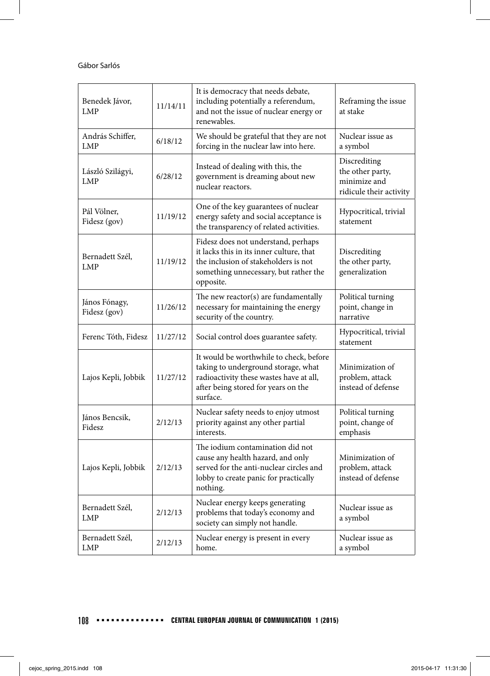| Benedek Jávor,<br><b>LMP</b>  | 11/14/11 | It is democracy that needs debate,<br>including potentially a referendum,<br>and not the issue of nuclear energy or<br>renewables.                                            | Reframing the issue<br>at stake                                             |
|-------------------------------|----------|-------------------------------------------------------------------------------------------------------------------------------------------------------------------------------|-----------------------------------------------------------------------------|
| András Schiffer,<br>LMP       | 6/18/12  | We should be grateful that they are not<br>forcing in the nuclear law into here.                                                                                              | Nuclear issue as<br>a symbol                                                |
| László Szilágyi,<br>LMP       | 6/28/12  | Instead of dealing with this, the<br>government is dreaming about new<br>nuclear reactors.                                                                                    | Discrediting<br>the other party,<br>minimize and<br>ridicule their activity |
| Pál Völner.<br>Fidesz (gov)   | 11/19/12 | One of the key guarantees of nuclear<br>energy safety and social acceptance is<br>the transparency of related activities.                                                     | Hypocritical, trivial<br>statement                                          |
| Bernadett Szél,<br>LMP        | 11/19/12 | Fidesz does not understand, perhaps<br>it lacks this in its inner culture, that<br>the inclusion of stakeholders is not<br>something unnecessary, but rather the<br>opposite. | Discrediting<br>the other party,<br>generalization                          |
| János Fónagy,<br>Fidesz (gov) | 11/26/12 | The new reactor(s) are fundamentally<br>necessary for maintaining the energy<br>security of the country.                                                                      | Political turning<br>point, change in<br>narrative                          |
| Ferenc Tóth, Fidesz           | 11/27/12 | Social control does guarantee safety.                                                                                                                                         | Hypocritical, trivial<br>statement                                          |
| Lajos Kepli, Jobbik           | 11/27/12 | It would be worthwhile to check, before<br>taking to underground storage, what<br>radioactivity these wastes have at all,<br>after being stored for years on the<br>surface.  | Minimization of<br>problem, attack<br>instead of defense                    |
| János Bencsik,<br>Fidesz      | 2/12/13  | Nuclear safety needs to enjoy utmost<br>priority against any other partial<br>interests.                                                                                      | Political turning<br>point, change of<br>emphasis                           |
| Lajos Kepli, Jobbik           | 2/12/13  | The iodium contamination did not<br>cause any health hazard, and only<br>served for the anti-nuclear circles and<br>lobby to create panic for practically<br>nothing.         | Minimization of<br>problem, attack<br>instead of defense                    |
| Bernadett Szél,<br><b>LMP</b> | 2/12/13  | Nuclear energy keeps generating<br>problems that today's economy and<br>society can simply not handle.                                                                        | Nuclear issue as<br>a symbol                                                |
| Bernadett Szél,<br>LMP        | 2/12/13  | Nuclear energy is present in every<br>home.                                                                                                                                   | Nuclear issue as<br>a symbol                                                |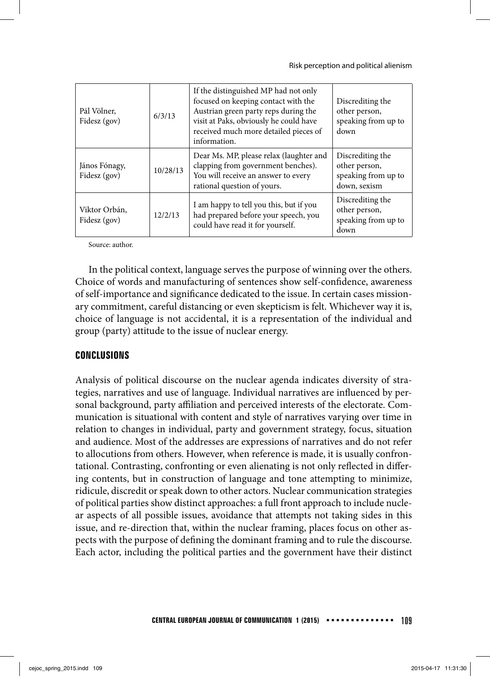| Pál Völner,<br>Fidesz (gov)   | 6/3/13   | If the distinguished MP had not only<br>focused on keeping contact with the<br>Austrian green party reps during the<br>visit at Paks, obviously he could have<br>received much more detailed pieces of<br>information. | Discrediting the<br>other person,<br>speaking from up to<br>down         |
|-------------------------------|----------|------------------------------------------------------------------------------------------------------------------------------------------------------------------------------------------------------------------------|--------------------------------------------------------------------------|
| János Fónagy,<br>Fidesz (gov) | 10/28/13 | Dear Ms. MP, please relax (laughter and<br>clapping from government benches).<br>You will receive an answer to every<br>rational question of yours.                                                                    | Discrediting the<br>other person,<br>speaking from up to<br>down, sexism |
| Viktor Orbán,<br>Fidesz (gov) | 12/2/13  | I am happy to tell you this, but if you<br>had prepared before your speech, you<br>could have read it for yourself.                                                                                                    | Discrediting the<br>other person,<br>speaking from up to<br>down         |

Source: author.

In the political context, language serves the purpose of winning over the others. Choice of words and manufacturing of sentences show self-confidence, awareness of self-importance and significance dedicated to the issue. In certain cases missionary commitment, careful distancing or even skepticism is felt. Whichever way it is, choice of language is not accidental, it is a representation of the individual and group (party) attitude to the issue of nuclear energy.

# **CONCLUSIONS**

Analysis of political discourse on the nuclear agenda indicates diversity of strategies, narratives and use of language. Individual narratives are influenced by personal background, party affiliation and perceived interests of the electorate. Communication is situational with content and style of narratives varying over time in relation to changes in individual, party and government strategy, focus, situation and audience. Most of the addresses are expressions of narratives and do not refer to allocutions from others. However, when reference is made, it is usually confrontational. Contrasting, confronting or even alienating is not only reflected in differing contents, but in construction of language and tone attempting to minimize, ridicule, discredit or speak down to other actors. Nuclear communication strategies of political parties show distinct approaches: a full front approach to include nuclear aspects of all possible issues, avoidance that attempts not taking sides in this issue, and re-direction that, within the nuclear framing, places focus on other aspects with the purpose of defining the dominant framing and to rule the discourse. Each actor, including the political parties and the government have their distinct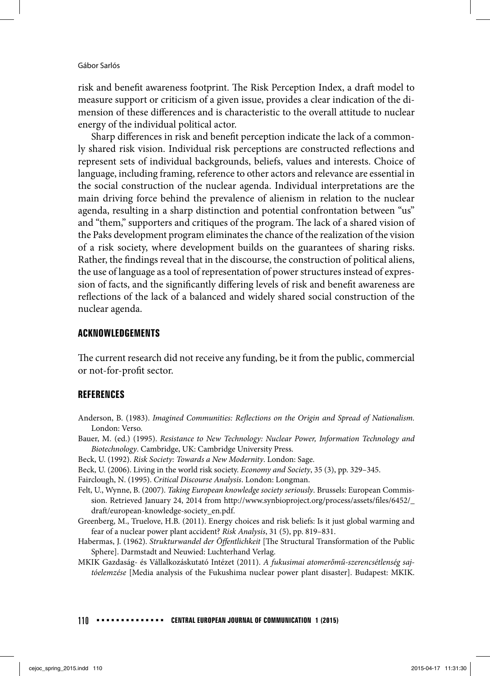risk and benefit awareness footprint. The Risk Perception Index, a draft model to measure support or criticism of a given issue, provides a clear indication of the dimension of these differences and is characteristic to the overall attitude to nuclear energy of the individual political actor.

Sharp differences in risk and benefit perception indicate the lack of a commonly shared risk vision. Individual risk perceptions are constructed reflections and represent sets of individual backgrounds, beliefs, values and interests. Choice of language, including framing, reference to other actors and relevance are essential in the social construction of the nuclear agenda. Individual interpretations are the main driving force behind the prevalence of alienism in relation to the nuclear agenda, resulting in a sharp distinction and potential confrontation between "us" and "them," supporters and critiques of the program. The lack of a shared vision of the Paks development program eliminates the chance of the realization of the vision of a risk society, where development builds on the guarantees of sharing risks. Rather, the findings reveal that in the discourse, the construction of political aliens, the use of language as a tool of representation of power structures instead of expression of facts, and the significantly differing levels of risk and benefit awareness are reflections of the lack of a balanced and widely shared social construction of the nuclear agenda.

## **ACKNOWLEDGEMENTS**

The current research did not receive any funding, be it from the public, commercial or not-for-profit sector.

# **REFERENCES**

- Anderson, B. (1983). Imagined Communities: Reflections on the Origin and Spread of Nationalism. London: Verso.
- Bauer, M. (ed.) (1995). Resistance to New Technology: Nuclear Power, Information Technology and Biotechnology. Cambridge, UK: Cambridge University Press.
- Beck, U. (1992). Risk Society: Towards a New Modernity. London: Sage.

Beck, U. (2006). Living in the world risk society. Economy and Society, 35 (3), pp. 329–345.

Fairclough, N. (1995). Critical Discourse Analysis. London: Longman.

- Felt, U., Wynne, B. (2007). Taking European knowledge society seriously. Brussels: European Commission. Retrieved January 24, 2014 from http://www.synbioproject.org/process/assets/files/6452/\_ draft /european-knowledge-society\_en.pdf.
- Greenberg, M., Truelove, H.B. (2011). Energy choices and risk beliefs: Is it just global warming and fear of a nuclear power plant accident? Risk Analysis, 31 (5), pp. 819–831.
- Habermas, J. (1962). Strukturwandel der Öffentlichkeit [The Structural Transformation of the Public Sphere]. Darmstadt and Neuwied: Luchterhand Verlag.
- MKIK Gazdaság- és Vállalkozáskutató Intézet (2011). A fukusimai atomerőmű-szerencsétlenség sajtóelemzése [Media analysis of the Fukushima nuclear power plant disaster]. Budapest: MKIK.